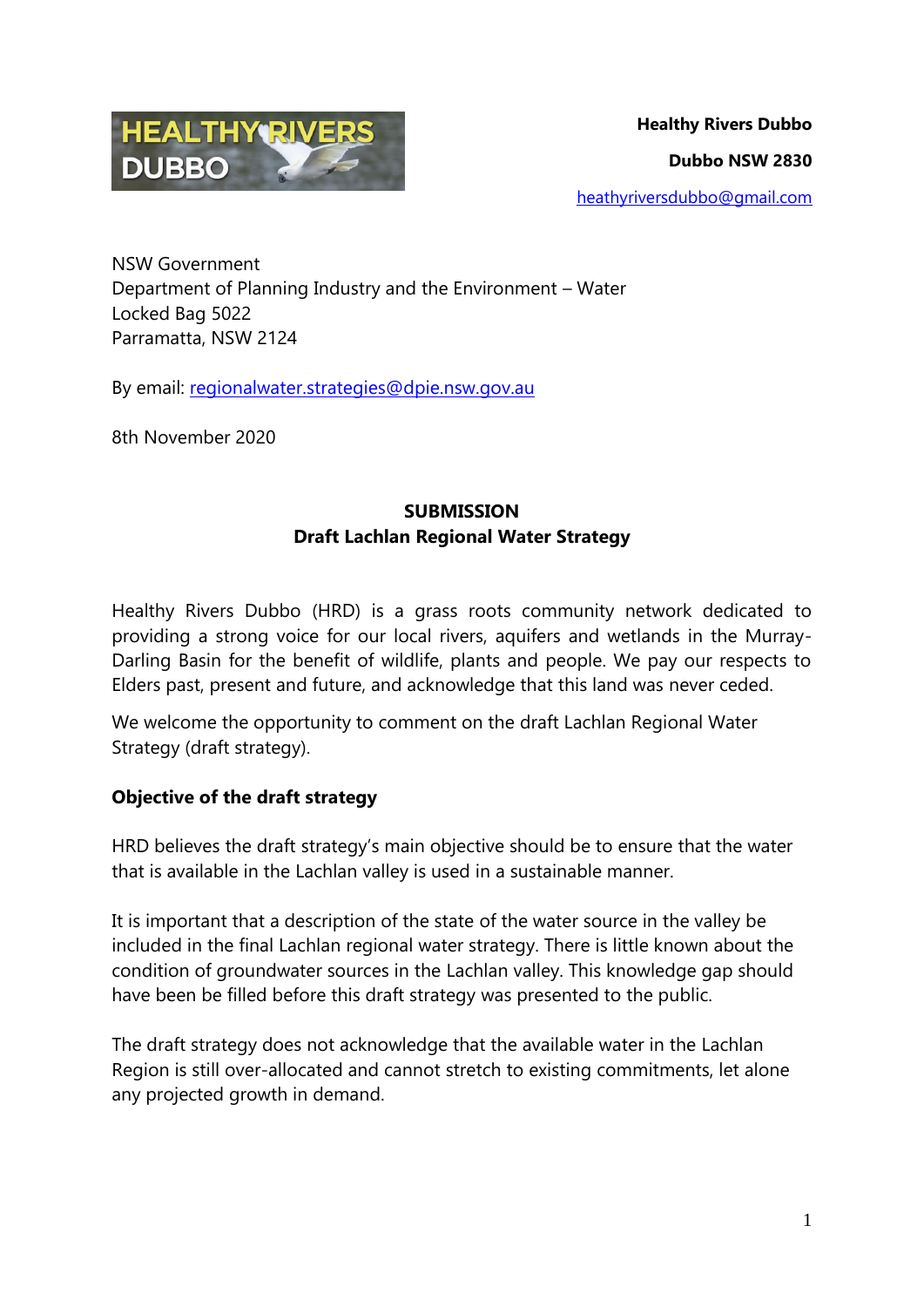

NSW Government Department of Planning Industry and the Environment – Water Locked Bag 5022 Parramatta, NSW 2124

By email: [regionalwater.strategies@dpie.nsw.gov.au](mailto:regionalwater.strategies@dpie.nsw.gov.au)

8th November 2020

## **SUBMISSION Draft Lachlan Regional Water Strategy**

Healthy Rivers Dubbo (HRD) is a grass roots community network dedicated to providing a strong voice for our local rivers, aquifers and wetlands in the Murray-Darling Basin for the benefit of wildlife, plants and people. We pay our respects to Elders past, present and future, and acknowledge that this land was never ceded.

We welcome the opportunity to comment on the draft Lachlan Regional Water Strategy (draft strategy).

## **Objective of the draft strategy**

HRD believes the draft strategy's main objective should be to ensure that the water that is available in the Lachlan valley is used in a sustainable manner.

It is important that a description of the state of the water source in the valley be included in the final Lachlan regional water strategy. There is little known about the condition of groundwater sources in the Lachlan valley. This knowledge gap should have been be filled before this draft strategy was presented to the public.

The draft strategy does not acknowledge that the available water in the Lachlan Region is still over-allocated and cannot stretch to existing commitments, let alone any projected growth in demand.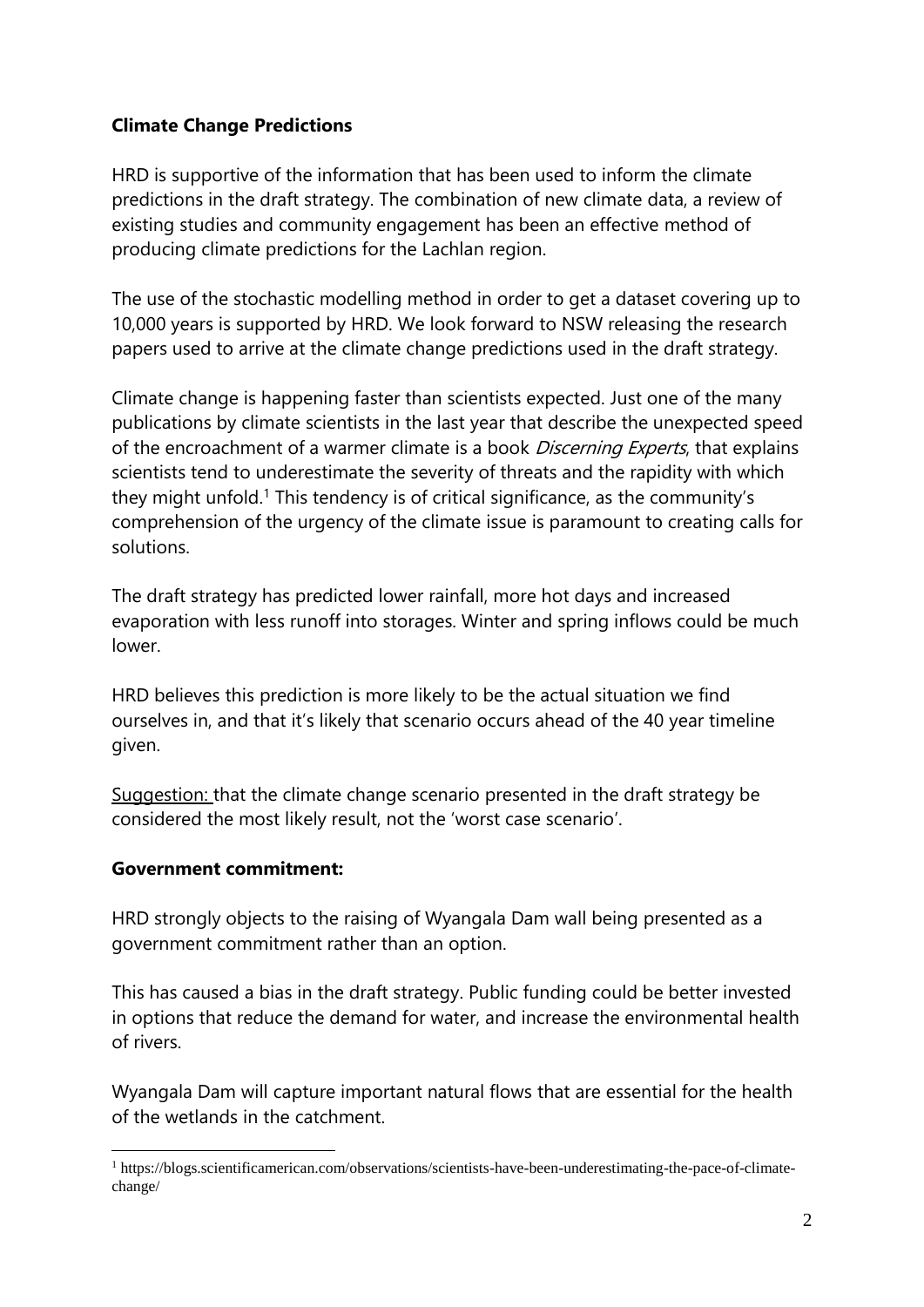#### **Climate Change Predictions**

HRD is supportive of the information that has been used to inform the climate predictions in the draft strategy. The combination of new climate data, a review of existing studies and community engagement has been an effective method of producing climate predictions for the Lachlan region.

The use of the stochastic modelling method in order to get a dataset covering up to 10,000 years is supported by HRD. We look forward to NSW releasing the research papers used to arrive at the climate change predictions used in the draft strategy.

Climate change is happening faster than scientists expected. Just one of the many publications by climate scientists in the last year that describe the unexpected speed of the encroachment of a warmer climate is a book *Discerning Experts*, that explains scientists tend to underestimate the severity of threats and the rapidity with which they might unfold.<sup>1</sup> This tendency is of critical significance, as the community's comprehension of the urgency of the climate issue is paramount to creating calls for solutions.

The draft strategy has predicted lower rainfall, more hot days and increased evaporation with less runoff into storages. Winter and spring inflows could be much lower.

HRD believes this prediction is more likely to be the actual situation we find ourselves in, and that it's likely that scenario occurs ahead of the 40 year timeline given.

Suggestion: that the climate change scenario presented in the draft strategy be considered the most likely result, not the 'worst case scenario'.

## **Government commitment:**

HRD strongly objects to the raising of Wyangala Dam wall being presented as a government commitment rather than an option.

This has caused a bias in the draft strategy. Public funding could be better invested in options that reduce the demand for water, and increase the environmental health of rivers.

Wyangala Dam will capture important natural flows that are essential for the health of the wetlands in the catchment.

<sup>1</sup> <sup>1</sup> https://blogs.scientificamerican.com/observations/scientists-have-been-underestimating-the-pace-of-climatechange/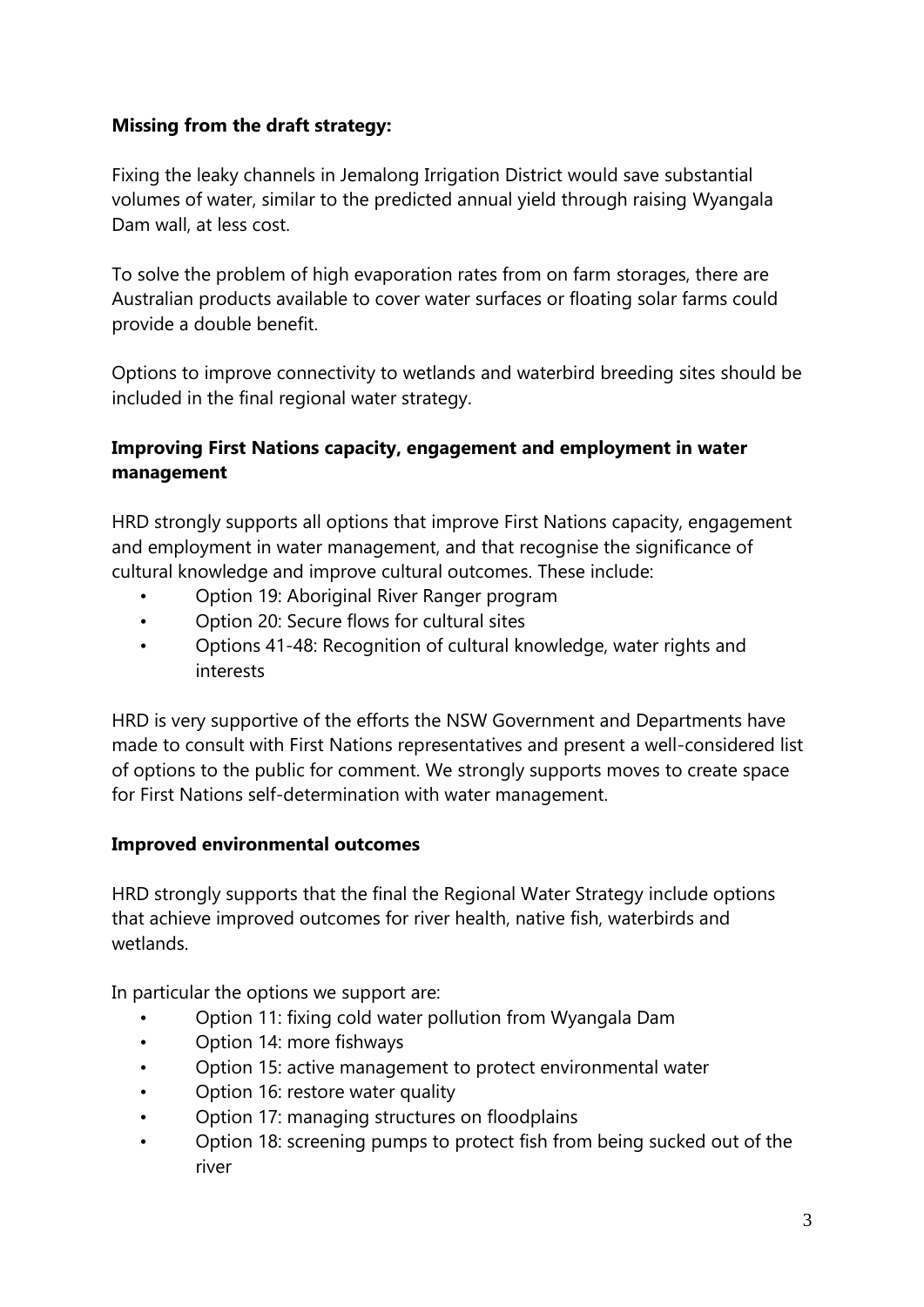## **Missing from the draft strategy:**

Fixing the leaky channels in Jemalong Irrigation District would save substantial volumes of water, similar to the predicted annual yield through raising Wyangala Dam wall, at less cost.

To solve the problem of high evaporation rates from on farm storages, there are Australian products available to cover water surfaces or floating solar farms could provide a double benefit.

Options to improve connectivity to wetlands and waterbird breeding sites should be included in the final regional water strategy.

# **Improving First Nations capacity, engagement and employment in water management**

HRD strongly supports all options that improve First Nations capacity, engagement and employment in water management, and that recognise the significance of cultural knowledge and improve cultural outcomes. These include:

- Option 19: Aboriginal River Ranger program
- Option 20: Secure flows for cultural sites
- Options 41-48: Recognition of cultural knowledge, water rights and interests

HRD is very supportive of the efforts the NSW Government and Departments have made to consult with First Nations representatives and present a well-considered list of options to the public for comment. We strongly supports moves to create space for First Nations self-determination with water management.

#### **Improved environmental outcomes**

HRD strongly supports that the final the Regional Water Strategy include options that achieve improved outcomes for river health, native fish, waterbirds and wetlands.

In particular the options we support are:

- Option 11: fixing cold water pollution from Wyangala Dam
- Option 14: more fishways
- Option 15: active management to protect environmental water
- Option 16: restore water quality
- Option 17: managing structures on floodplains
- Option 18: screening pumps to protect fish from being sucked out of the river